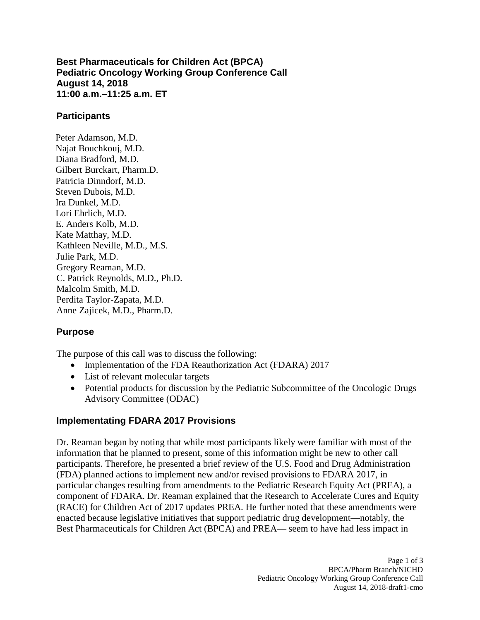**Best Pharmaceuticals for Children Act (BPCA) Pediatric Oncology Working Group Conference Call August 14, 2018 11:00 a.m.–11:25 a.m. ET**

### **Participants**

Peter Adamson, M.D. Najat Bouchkouj, M.D. Diana Bradford, M.D. Gilbert Burckart, Pharm.D. Patricia Dinndorf, M.D. Steven Dubois, M.D. Ira Dunkel, M.D. Lori Ehrlich, M.D. E. Anders Kolb, M.D. Kate Matthay, M.D. Kathleen Neville, M.D., M.S. Julie Park, M.D. Gregory Reaman, M.D. C. Patrick Reynolds, M.D., Ph.D. Malcolm Smith, M.D. Perdita Taylor-Zapata, M.D. Anne Zajicek, M.D., Pharm.D.

## **Purpose**

The purpose of this call was to discuss the following:

- Implementation of the FDA Reauthorization Act (FDARA) 2017
- List of relevant molecular targets
- Potential products for discussion by the Pediatric Subcommittee of the Oncologic Drugs Advisory Committee (ODAC)

## **Implementating FDARA 2017 Provisions**

Dr. Reaman began by noting that while most participants likely were familiar with most of the information that he planned to present, some of this information might be new to other call participants. Therefore, he presented a brief review of the U.S. Food and Drug Administration (FDA) planned actions to implement new and/or revised provisions to FDARA 2017, in particular changes resulting from amendments to the Pediatric Research Equity Act (PREA), a component of FDARA. Dr. Reaman explained that the Research to Accelerate Cures and Equity (RACE) for Children Act of 2017 updates PREA. He further noted that these amendments were enacted because legislative initiatives that support pediatric drug development—notably, the Best Pharmaceuticals for Children Act (BPCA) and PREA— seem to have had less impact in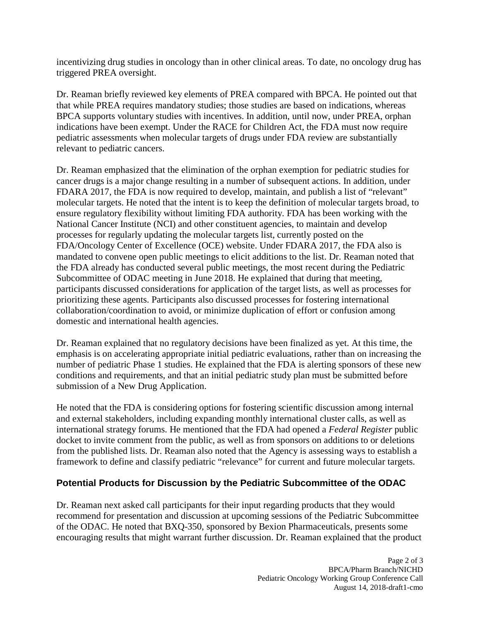incentivizing drug studies in oncology than in other clinical areas. To date, no oncology drug has triggered PREA oversight.

Dr. Reaman briefly reviewed key elements of PREA compared with BPCA. He pointed out that that while PREA requires mandatory studies; those studies are based on indications, whereas BPCA supports voluntary studies with incentives. In addition, until now, under PREA, orphan indications have been exempt. Under the RACE for Children Act, the FDA must now require pediatric assessments when molecular targets of drugs under FDA review are substantially relevant to pediatric cancers.

Dr. Reaman emphasized that the elimination of the orphan exemption for pediatric studies for cancer drugs is a major change resulting in a number of subsequent actions. In addition, under FDARA 2017, the FDA is now required to develop, maintain, and publish a list of "relevant" molecular targets. He noted that the intent is to keep the definition of molecular targets broad, to ensure regulatory flexibility without limiting FDA authority. FDA has been working with the National Cancer Institute (NCI) and other constituent agencies, to maintain and develop processes for regularly updating the molecular targets list, currently posted on the FDA/Oncology Center of Excellence (OCE) website. Under FDARA 2017, the FDA also is mandated to convene open public meetings to elicit additions to the list. Dr. Reaman noted that the FDA already has conducted several public meetings, the most recent during the Pediatric Subcommittee of ODAC meeting in June 2018. He explained that during that meeting, participants discussed considerations for application of the target lists, as well as processes for prioritizing these agents. Participants also discussed processes for fostering international collaboration/coordination to avoid, or minimize duplication of effort or confusion among domestic and international health agencies.

Dr. Reaman explained that no regulatory decisions have been finalized as yet. At this time, the emphasis is on accelerating appropriate initial pediatric evaluations, rather than on increasing the number of pediatric Phase 1 studies. He explained that the FDA is alerting sponsors of these new conditions and requirements, and that an initial pediatric study plan must be submitted before submission of a New Drug Application.

He noted that the FDA is considering options for fostering scientific discussion among internal and external stakeholders, including expanding monthly international cluster calls, as well as international strategy forums. He mentioned that the FDA had opened a *Federal Register* public docket to invite comment from the public, as well as from sponsors on additions to or deletions from the published lists. Dr. Reaman also noted that the Agency is assessing ways to establish a framework to define and classify pediatric "relevance" for current and future molecular targets.

# **Potential Products for Discussion by the Pediatric Subcommittee of the ODAC**

Dr. Reaman next asked call participants for their input regarding products that they would recommend for presentation and discussion at upcoming sessions of the Pediatric Subcommittee of the ODAC. He noted that BXQ-350, sponsored by Bexion Pharmaceuticals, presents some encouraging results that might warrant further discussion. Dr. Reaman explained that the product